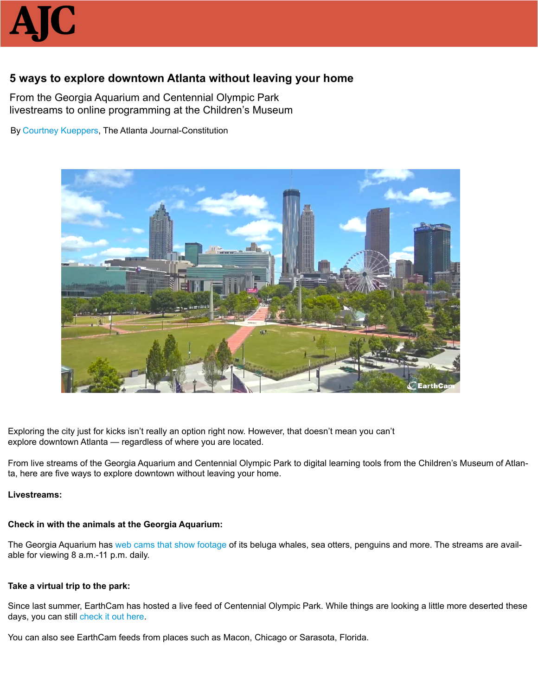

# **5 ways to explore downtown Atlanta without leaving your home**

From the Georgia Aquarium and Centennial Olympic Park livestreams to online programming at the Children's Museum

By [Courtney Kueppers](https://www.ajc.com/online/contacts/courtney-kueppers/7mg9wU9fD5GNCEMIBlpf5J/), The Atlanta Journal-Constitution



Exploring the city just for kicks isn't really an option right now. However, that doesn't mean you can't explore downtown Atlanta — regardless of where you are located.

From live streams of the Georgia Aquarium and Centennial Olympic Park to digital learning tools from the Children's Museum of Atlanta, here are five ways to explore downtown without leaving your home.

#### **Livestreams:**

# **Check in with the animals at the Georgia Aquarium:**

The Georgia Aquarium has [web cams that show footage](https://www.ajc.com/lifestyles/this-live-video-penguins-the-georgia-aquarium-will-just-the-distraction-you-need-today/2HcVUeFp3gPdmNQ64zOeCM/) of its beluga whales, sea otters, penguins and more. The streams are available for viewing 8 a.m.-11 p.m. daily.

# **Take a virtual trip to the park:**

Since last summer, EarthCam has hosted a live feed of Centennial Olympic Park. While things are looking a little more deserted these days, you can still [check it out here](https://www.earthcam.com/usa/georgia/atlanta/?cam=atlanta).

You can also see EarthCam feeds from places such as Macon, Chicago or Sarasota, Florida.